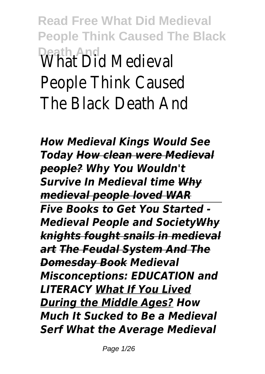# **Read Free What Did Medieval People Think Caused The Black Peath And<br>\What\_Did\_Medieva** People Think Cause The Black Death An

*How Medieval Kings Would See Today How clean were Medieval people? Why You Wouldn't Survive In Medieval time Why medieval people loved WAR Five Books to Get You Started - Medieval People and SocietyWhy knights fought snails in medieval art The Feudal System And The Domesday Book Medieval Misconceptions: EDUCATION and LITERACY What If You Lived During the Middle Ages? How Much It Sucked to Be a Medieval Serf What the Average Medieval*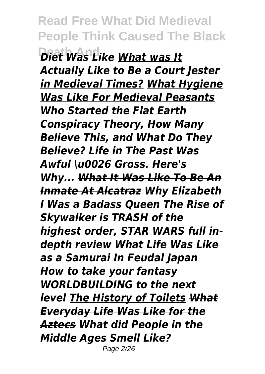**Death And** *Diet Was Like What was It Actually Like to Be a Court Jester in Medieval Times? What Hygiene Was Like For Medieval Peasants Who Started the Flat Earth Conspiracy Theory, How Many Believe This, and What Do They Believe? Life in The Past Was Awful \u0026 Gross. Here's Why... What It Was Like To Be An Inmate At Alcatraz Why Elizabeth I Was a Badass Queen The Rise of Skywalker is TRASH of the highest order, STAR WARS full indepth review What Life Was Like as a Samurai In Feudal Japan How to take your fantasy WORLDBUILDING to the next level The History of Toilets What Everyday Life Was Like for the Aztecs What did People in the Middle Ages Smell Like?* Page 2/26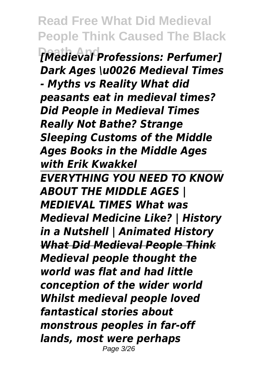**Read Free What Did Medieval People Think Caused The Black Death And** *[Medieval Professions: Perfumer] Dark Ages \u0026 Medieval Times - Myths vs Reality What did peasants eat in medieval times? Did People in Medieval Times Really Not Bathe? Strange Sleeping Customs of the Middle Ages Books in the Middle Ages with Erik Kwakkel EVERYTHING YOU NEED TO KNOW ABOUT THE MIDDLE AGES | MEDIEVAL TIMES What was Medieval Medicine Like? | History in a Nutshell | Animated History What Did Medieval People Think Medieval people thought the world was flat and had little conception of the wider world Whilst medieval people loved fantastical stories about monstrous peoples in far-off lands, most were perhaps* Page 3/26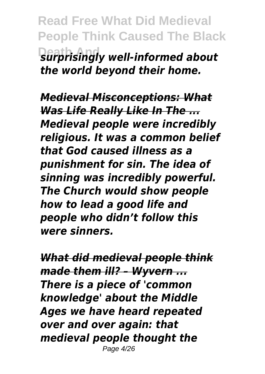**Read Free What Did Medieval People Think Caused The Black Death And** *surprisingly well-informed about the world beyond their home.*

*Medieval Misconceptions: What Was Life Really Like In The ... Medieval people were incredibly religious. It was a common belief that God caused illness as a punishment for sin. The idea of sinning was incredibly powerful. The Church would show people how to lead a good life and people who didn't follow this were sinners.*

*What did medieval people think made them ill? – Wyvern ... There is a piece of 'common knowledge' about the Middle Ages we have heard repeated over and over again: that medieval people thought the* Page 4/26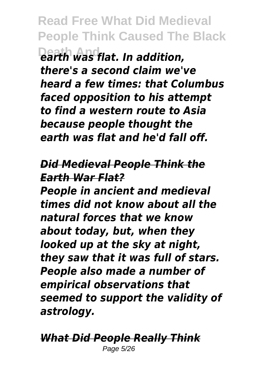**Read Free What Did Medieval People Think Caused The Black Death And** *earth was flat. In addition, there's a second claim we've heard a few times: that Columbus faced opposition to his attempt to find a western route to Asia because people thought the earth was flat and he'd fall off.*

#### *Did Medieval People Think the Earth War Flat?*

*People in ancient and medieval times did not know about all the natural forces that we know about today, but, when they looked up at the sky at night, they saw that it was full of stars. People also made a number of empirical observations that seemed to support the validity of astrology.*

*What Did People Really Think* Page 5/26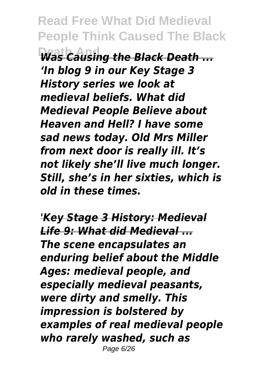**Death And** *Was Causing the Black Death ... 'In blog 9 in our Key Stage 3 History series we look at medieval beliefs. What did Medieval People Believe about Heaven and Hell? I have some sad news today. Old Mrs Miller from next door is really ill. It's not likely she'll live much longer. Still, she's in her sixties, which is old in these times.*

*'Key Stage 3 History: Medieval Life 9: What did Medieval ... The scene encapsulates an enduring belief about the Middle Ages: medieval people, and especially medieval peasants, were dirty and smelly. This impression is bolstered by examples of real medieval people who rarely washed, such as* Page 6/26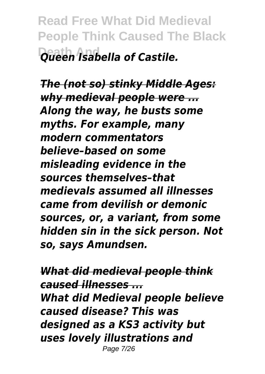**Read Free What Did Medieval People Think Caused The Black Death And** *Queen Isabella of Castile.*

*The (not so) stinky Middle Ages: why medieval people were ... Along the way, he busts some myths. For example, many modern commentators believe–based on some misleading evidence in the sources themselves–that medievals assumed all illnesses came from devilish or demonic sources, or, a variant, from some hidden sin in the sick person. Not so, says Amundsen.*

*What did medieval people think caused illnesses ... What did Medieval people believe caused disease? This was designed as a KS3 activity but uses lovely illustrations and* Page 7/26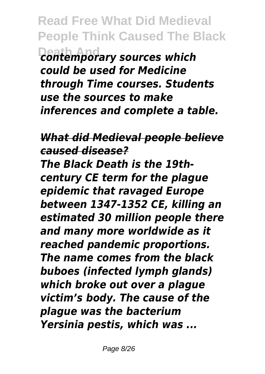**Read Free What Did Medieval People Think Caused The Black Death And** *contemporary sources which could be used for Medicine through Time courses. Students use the sources to make inferences and complete a table.*

*What did Medieval people believe caused disease? The Black Death is the 19th-*

*century CE term for the plague epidemic that ravaged Europe between 1347-1352 CE, killing an estimated 30 million people there and many more worldwide as it reached pandemic proportions. The name comes from the black buboes (infected lymph glands) which broke out over a plague victim's body. The cause of the plague was the bacterium Yersinia pestis, which was ...*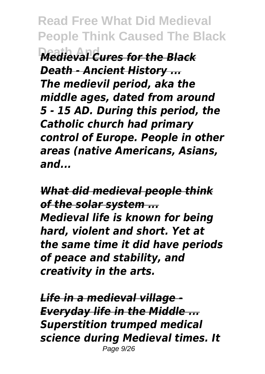**Death And** *Medieval Cures for the Black Death - Ancient History ... The medievil period, aka the middle ages, dated from around 5 - 15 AD. During this period, the Catholic church had primary control of Europe. People in other areas (native Americans, Asians, and...*

*What did medieval people think of the solar system ... Medieval life is known for being hard, violent and short. Yet at the same time it did have periods of peace and stability, and creativity in the arts.*

*Life in a medieval village - Everyday life in the Middle ... Superstition trumped medical science during Medieval times. It* Page 9/26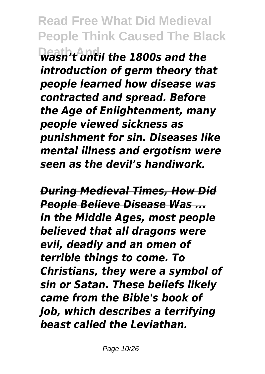**Read Free What Did Medieval People Think Caused The Black Death And** *wasn't until the 1800s and the*

*introduction of germ theory that people learned how disease was contracted and spread. Before the Age of Enlightenment, many people viewed sickness as punishment for sin. Diseases like mental illness and ergotism were seen as the devil's handiwork.*

*During Medieval Times, How Did People Believe Disease Was ... In the Middle Ages, most people believed that all dragons were evil, deadly and an omen of terrible things to come. To Christians, they were a symbol of sin or Satan. These beliefs likely came from the Bible's book of Job, which describes a terrifying beast called the Leviathan.*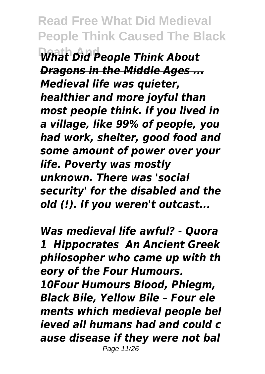**What Did People Think About** *Dragons in the Middle Ages ... Medieval life was quieter, healthier and more joyful than most people think. If you lived in a village, like 99% of people, you had work, shelter, good food and some amount of power over your life. Poverty was mostly unknown. There was 'social security' for the disabled and the old (!). If you weren't outcast...*

*Was medieval life awful? - Quora 1 Hippocrates An Ancient Greek philosopher who came up with th eory of the Four Humours. 10Four Humours Blood, Phlegm, Black Bile, Yellow Bile – Four ele ments which medieval people bel ieved all humans had and could c ause disease if they were not bal* Page 11/26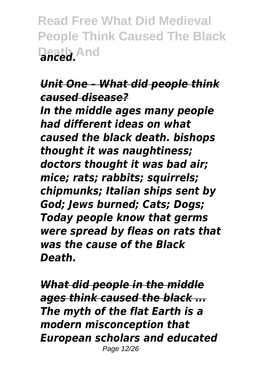**Read Free What Did Medieval People Think Caused The Black Death And** *anced.*

#### *Unit One – What did people think caused disease?*

*In the middle ages many people had different ideas on what caused the black death. bishops thought it was naughtiness; doctors thought it was bad air; mice; rats; rabbits; squirrels; chipmunks; Italian ships sent by God; Jews burned; Cats; Dogs; Today people know that germs were spread by fleas on rats that was the cause of the Black Death.*

*What did people in the middle ages think caused the black ... The myth of the flat Earth is a modern misconception that European scholars and educated* Page 12/26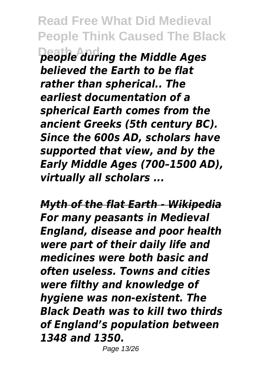**Read Free What Did Medieval People Think Caused The Black Death And** *people during the Middle Ages believed the Earth to be flat rather than spherical.. The earliest documentation of a spherical Earth comes from the ancient Greeks (5th century BC). Since the 600s AD, scholars have supported that view, and by the Early Middle Ages (700–1500 AD), virtually all scholars ...*

*Myth of the flat Earth - Wikipedia For many peasants in Medieval England, disease and poor health were part of their daily life and medicines were both basic and often useless. Towns and cities were filthy and knowledge of hygiene was non-existent. The Black Death was to kill two thirds of England's population between 1348 and 1350.*

Page 13/26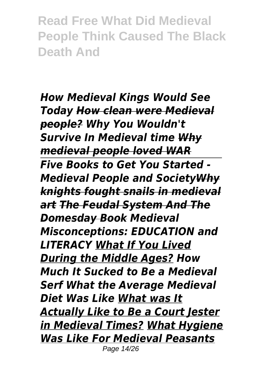*How Medieval Kings Would See Today How clean were Medieval people? Why You Wouldn't Survive In Medieval time Why medieval people loved WAR Five Books to Get You Started - Medieval People and SocietyWhy knights fought snails in medieval art The Feudal System And The Domesday Book Medieval Misconceptions: EDUCATION and LITERACY What If You Lived During the Middle Ages? How Much It Sucked to Be a Medieval Serf What the Average Medieval Diet Was Like What was It Actually Like to Be a Court Jester in Medieval Times? What Hygiene Was Like For Medieval Peasants* Page 14/26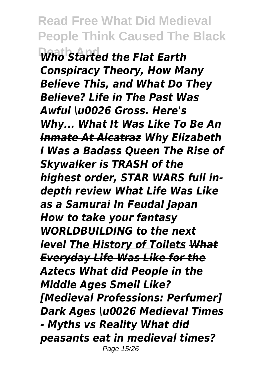**Death And** *Who Started the Flat Earth Conspiracy Theory, How Many Believe This, and What Do They Believe? Life in The Past Was Awful \u0026 Gross. Here's Why... What It Was Like To Be An Inmate At Alcatraz Why Elizabeth I Was a Badass Queen The Rise of Skywalker is TRASH of the highest order, STAR WARS full indepth review What Life Was Like as a Samurai In Feudal Japan How to take your fantasy WORLDBUILDING to the next level The History of Toilets What Everyday Life Was Like for the Aztecs What did People in the Middle Ages Smell Like? [Medieval Professions: Perfumer] Dark Ages \u0026 Medieval Times - Myths vs Reality What did peasants eat in medieval times?*  Page 15/26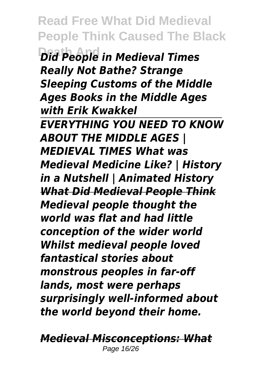**Read Free What Did Medieval People Think Caused The Black**  $\overline{\text{Did}}$  People in Medieval Times *Really Not Bathe? Strange Sleeping Customs of the Middle Ages Books in the Middle Ages with Erik Kwakkel EVERYTHING YOU NEED TO KNOW ABOUT THE MIDDLE AGES | MEDIEVAL TIMES What was Medieval Medicine Like? | History in a Nutshell | Animated History What Did Medieval People Think Medieval people thought the world was flat and had little conception of the wider world Whilst medieval people loved fantastical stories about monstrous peoples in far-off lands, most were perhaps surprisingly well-informed about the world beyond their home.*

*Medieval Misconceptions: What* Page 16/26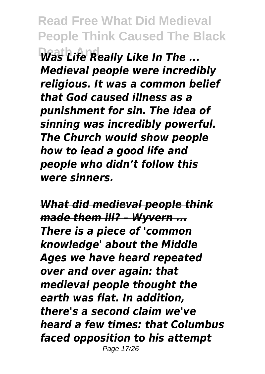**Was Life Really Like In The ...** *Medieval people were incredibly religious. It was a common belief that God caused illness as a punishment for sin. The idea of sinning was incredibly powerful. The Church would show people how to lead a good life and people who didn't follow this were sinners.*

*What did medieval people think made them ill? – Wyvern ... There is a piece of 'common knowledge' about the Middle Ages we have heard repeated over and over again: that medieval people thought the earth was flat. In addition, there's a second claim we've heard a few times: that Columbus faced opposition to his attempt* Page 17/26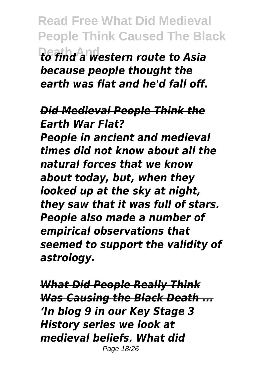**Read Free What Did Medieval People Think Caused The Black Death And** *to find a western route to Asia because people thought the earth was flat and he'd fall off.*

#### *Did Medieval People Think the Earth War Flat?*

*People in ancient and medieval times did not know about all the natural forces that we know about today, but, when they looked up at the sky at night, they saw that it was full of stars. People also made a number of empirical observations that seemed to support the validity of astrology.*

*What Did People Really Think Was Causing the Black Death ... 'In blog 9 in our Key Stage 3 History series we look at medieval beliefs. What did* Page 18/26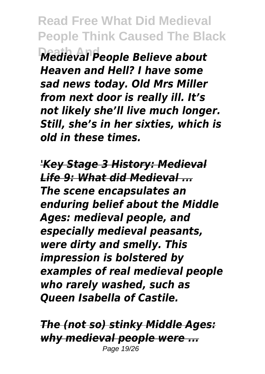**Read Free What Did Medieval People Think Caused The Black Death And** *Medieval People Believe about Heaven and Hell? I have some sad news today. Old Mrs Miller from next door is really ill. It's not likely she'll live much longer. Still, she's in her sixties, which is old in these times.*

*'Key Stage 3 History: Medieval Life 9: What did Medieval ... The scene encapsulates an enduring belief about the Middle Ages: medieval people, and especially medieval peasants, were dirty and smelly. This impression is bolstered by examples of real medieval people who rarely washed, such as Queen Isabella of Castile.*

*The (not so) stinky Middle Ages: why medieval people were ...* Page 19/26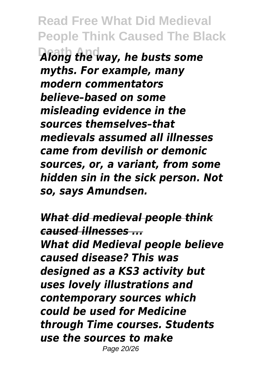**Read Free What Did Medieval People Think Caused The Black Death And** *Along the way, he busts some myths. For example, many modern commentators believe–based on some misleading evidence in the sources themselves–that medievals assumed all illnesses came from devilish or demonic sources, or, a variant, from some hidden sin in the sick person. Not so, says Amundsen.*

*What did medieval people think caused illnesses ... What did Medieval people believe caused disease? This was designed as a KS3 activity but uses lovely illustrations and contemporary sources which could be used for Medicine through Time courses. Students use the sources to make* Page 20/26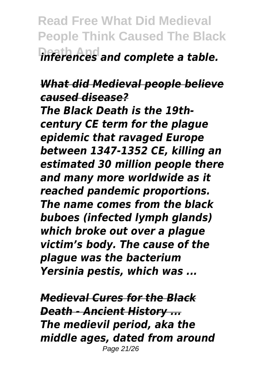**Read Free What Did Medieval People Think Caused The Black Death And** *inferences and complete a table.*

#### *What did Medieval people believe caused disease?*

*The Black Death is the 19thcentury CE term for the plague epidemic that ravaged Europe between 1347-1352 CE, killing an estimated 30 million people there and many more worldwide as it reached pandemic proportions. The name comes from the black buboes (infected lymph glands) which broke out over a plague victim's body. The cause of the plague was the bacterium Yersinia pestis, which was ...*

*Medieval Cures for the Black Death - Ancient History ... The medievil period, aka the middle ages, dated from around* Page 21/26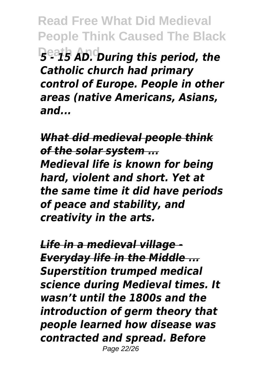**Read Free What Did Medieval People Think Caused The Black Death And** *5 - 15 AD. During this period, the Catholic church had primary control of Europe. People in other areas (native Americans, Asians, and...*

*What did medieval people think of the solar system ... Medieval life is known for being hard, violent and short. Yet at the same time it did have periods of peace and stability, and creativity in the arts.*

*Life in a medieval village - Everyday life in the Middle ... Superstition trumped medical science during Medieval times. It wasn't until the 1800s and the introduction of germ theory that people learned how disease was contracted and spread. Before* Page 22/26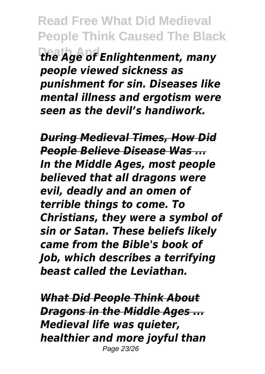**Read Free What Did Medieval People Think Caused The Black Death And** *the Age of Enlightenment, many people viewed sickness as punishment for sin. Diseases like mental illness and ergotism were seen as the devil's handiwork.*

*During Medieval Times, How Did People Believe Disease Was ... In the Middle Ages, most people believed that all dragons were evil, deadly and an omen of terrible things to come. To Christians, they were a symbol of sin or Satan. These beliefs likely came from the Bible's book of Job, which describes a terrifying beast called the Leviathan.*

*What Did People Think About Dragons in the Middle Ages ... Medieval life was quieter, healthier and more joyful than* Page 23/26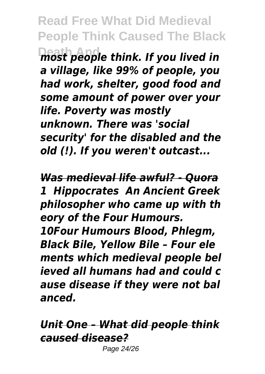**Read Free What Did Medieval People Think Caused The Black Death And** *most people think. If you lived in a village, like 99% of people, you had work, shelter, good food and some amount of power over your life. Poverty was mostly unknown. There was 'social security' for the disabled and the old (!). If you weren't outcast...*

*Was medieval life awful? - Quora 1 Hippocrates An Ancient Greek philosopher who came up with th eory of the Four Humours. 10Four Humours Blood, Phlegm, Black Bile, Yellow Bile – Four ele ments which medieval people bel ieved all humans had and could c ause disease if they were not bal anced.*

*Unit One – What did people think caused disease?* Page 24/26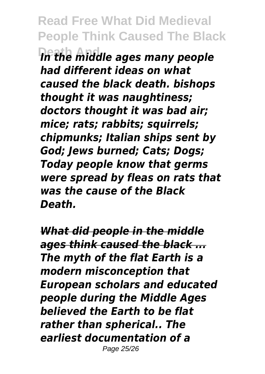**Read Free What Did Medieval People Think Caused The Black Death And** *In the middle ages many people had different ideas on what caused the black death. bishops thought it was naughtiness; doctors thought it was bad air; mice; rats; rabbits; squirrels; chipmunks; Italian ships sent by God; Jews burned; Cats; Dogs; Today people know that germs were spread by fleas on rats that was the cause of the Black Death.*

*What did people in the middle ages think caused the black ... The myth of the flat Earth is a modern misconception that European scholars and educated people during the Middle Ages believed the Earth to be flat rather than spherical.. The earliest documentation of a* Page 25/26